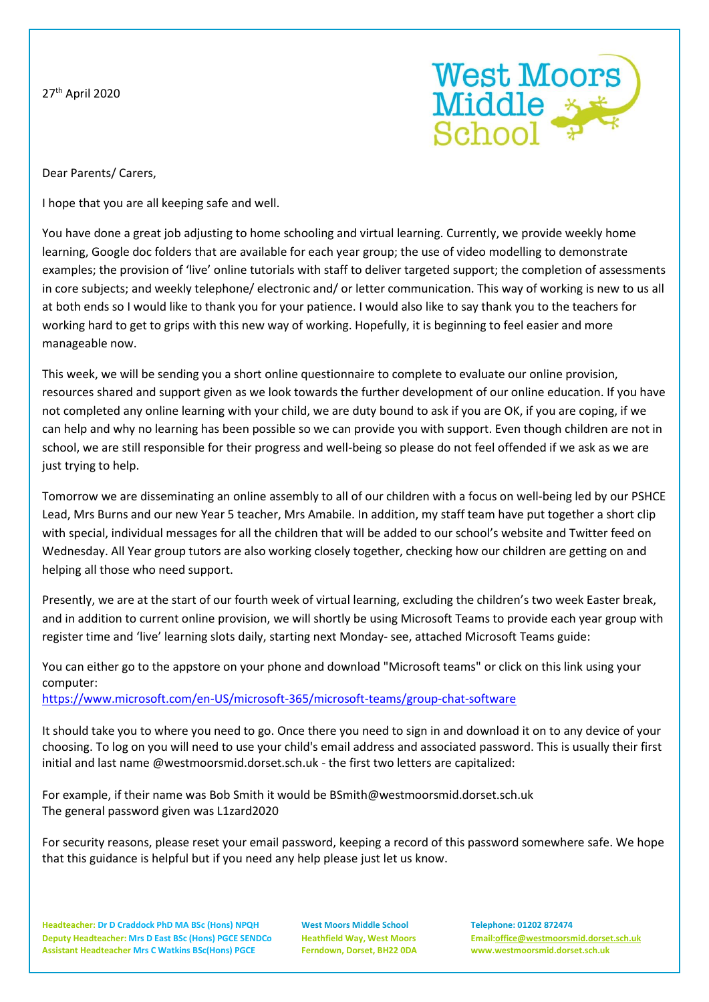27th April 2020



Dear Parents/ Carers,

I hope that you are all keeping safe and well.

You have done a great job adjusting to home schooling and virtual learning. Currently, we provide weekly home learning, Google doc folders that are available for each year group; the use of video modelling to demonstrate examples; the provision of 'live' online tutorials with staff to deliver targeted support; the completion of assessments in core subjects; and weekly telephone/ electronic and/ or letter communication. This way of working is new to us all at both ends so I would like to thank you for your patience. I would also like to say thank you to the teachers for working hard to get to grips with this new way of working. Hopefully, it is beginning to feel easier and more manageable now.

This week, we will be sending you a short online questionnaire to complete to evaluate our online provision, resources shared and support given as we look towards the further development of our online education. If you have not completed any online learning with your child, we are duty bound to ask if you are OK, if you are coping, if we can help and why no learning has been possible so we can provide you with support. Even though children are not in school, we are still responsible for their progress and well-being so please do not feel offended if we ask as we are just trying to help.

Tomorrow we are disseminating an online assembly to all of our children with a focus on well-being led by our PSHCE Lead, Mrs Burns and our new Year 5 teacher, Mrs Amabile. In addition, my staff team have put together a short clip with special, individual messages for all the children that will be added to our school's website and Twitter feed on Wednesday. All Year group tutors are also working closely together, checking how our children are getting on and helping all those who need support.

Presently, we are at the start of our fourth week of virtual learning, excluding the children's two week Easter break, and in addition to current online provision, we will shortly be using Microsoft Teams to provide each year group with register time and 'live' learning slots daily, starting next Monday- see, attached Microsoft Teams guide:

You can either go to the appstore on your phone and download "Microsoft teams" or click on this link using your computer:

<https://www.microsoft.com/en-US/microsoft-365/microsoft-teams/group-chat-software>

It should take you to where you need to go. Once there you need to sign in and download it on to any device of your choosing. To log on you will need to use your child's email address and associated password. This is usually their first initial and last name @westmoorsmid.dorset.sch.uk - the first two letters are capitalized:

For example, if their name was Bob Smith it would be BSmith@westmoorsmid.dorset.sch.uk The general password given was L1zard2020

For security reasons, please reset your email password, keeping a record of this password somewhere safe. We hope that this guidance is helpful but if you need any help please just let us know.

**Headteacher: Dr D Craddock PhD MA BSc (Hons) NPQH West Moors Middle School Telephone: 01202 872474 Deputy Headteacher: Mrs D East BSc (Hons) PGCE SENDCo Heathfield Way, West Moors Email[:office@westmoorsmid.dorset.sch.uk](mailto:office@westmoorsmid.dorset.sch.uk) Assistant Headteacher Mrs C Watkins BSc(Hons) PGCE Ferndown, Dorset, BH22 0DA www.westmoorsmid.dorset.sch.uk**